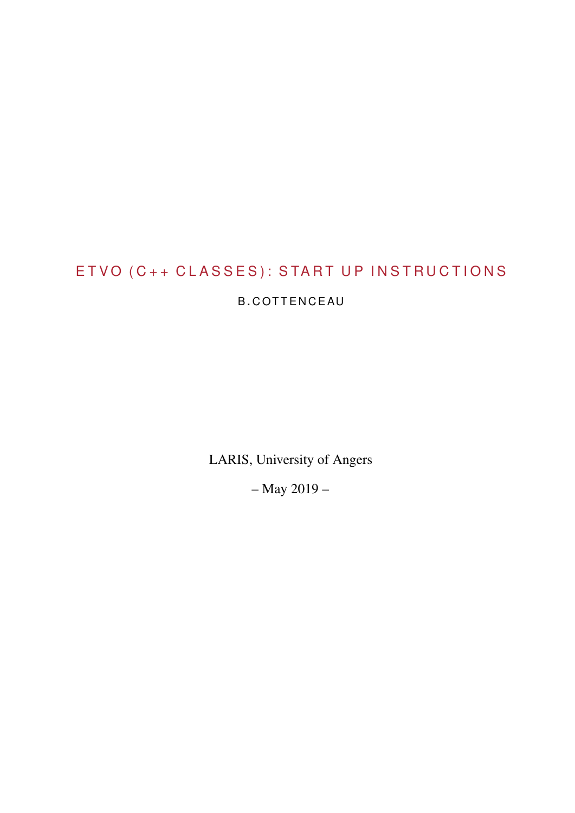# E T V O (C++ C L A S S E S): S T A R T U P IN S T R U C T I O N S

## B. COTTENCEAU

LARIS, University of Angers

– May 2019 –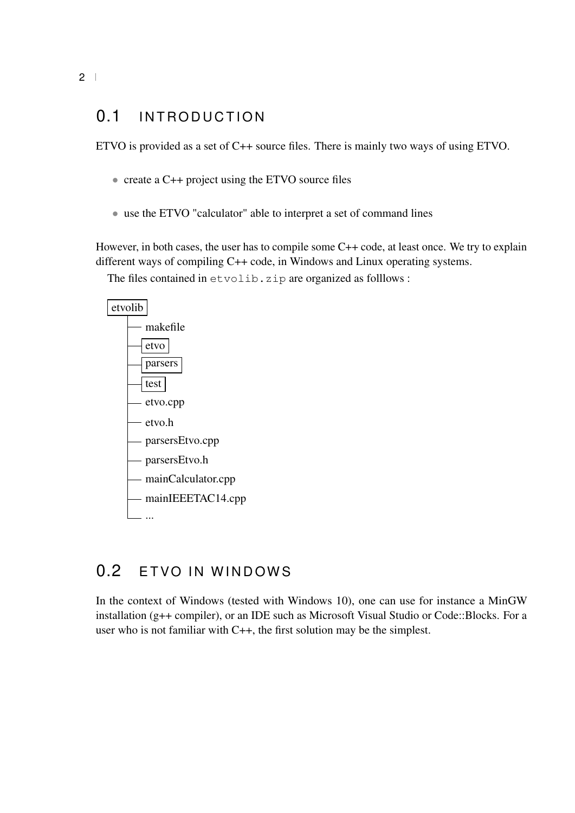## 0.1 INTRODUCTION

ETVO is provided as a set of C++ source files. There is mainly two ways of using ETVO.

- create a C++ project using the ETVO source files
- use the ETVO "calculator" able to interpret a set of command lines

However, in both cases, the user has to compile some C++ code, at least once. We try to explain different ways of compiling C++ code, in Windows and Linux operating systems. The files contained in etvolib. zip are organized as folllows :



## 0.2 ETVO IN WINDOWS

In the context of Windows (tested with Windows 10), one can use for instance a MinGW installation (g++ compiler), or an IDE such as Microsoft Visual Studio or Code::Blocks. For a user who is not familiar with C++, the first solution may be the simplest.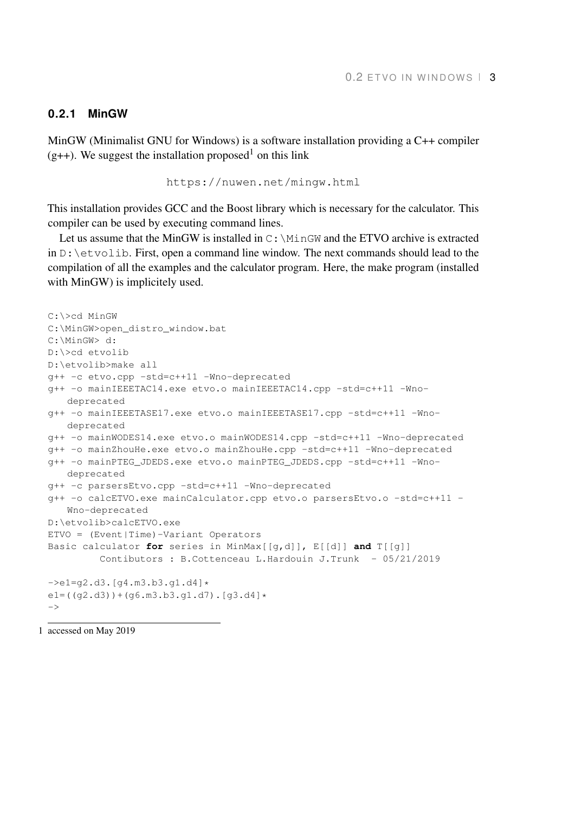#### **0.2.1 MinGW**

MinGW (Minimalist GNU for Windows) is a software installation providing a C++ compiler  $(g++)$ . We suggest the installation proposed<sup>1</sup> on this link

```
https://nuwen.net/mingw.html
```
This installation provides GCC and the Boost library which is necessary for the calculator. This compiler can be used by executing command lines.

Let us assume that the MinGW is installed in  $C:\M$ inGW and the ETVO archive is extracted in  $D: \text{letvolib.}$  First, open a command line window. The next commands should lead to the compilation of all the examples and the calculator program. Here, the make program (installed with MinGW) is implicitely used.

```
C:\>cd MinGW
C:\MinGW>open_distro_window.bat
C:\MinGW> d:
D:\>cd etvolib
D:\etvolib>make all
g++ -c etvo.cpp -std=c++11 -Wno-deprecated
g++ -o mainIEEETAC14.exe etvo.o mainIEEETAC14.cpp -std=c++11 -Wno-
   deprecated
g++ -o mainIEEETASE17.exe etvo.o mainIEEETASE17.cpp -std=c++11 -Wno-
   deprecated
g++ -o mainWODES14.exe etvo.o mainWODES14.cpp -std=c++11 -Wno-deprecated
g++ -o mainZhouHe.exe etvo.o mainZhouHe.cpp -std=c++11 -Wno-deprecated
g++ -o mainPTEG_JDEDS.exe etvo.o mainPTEG_JDEDS.cpp -std=c++11 -Wno-
   deprecated
g++ -c parsersEtvo.cpp -std=c++11 -Wno-deprecated
g++ -o calcETVO.exe mainCalculator.cpp etvo.o parsersEtvo.o -std=c++11 -
   Wno-deprecated
D:\etvolib>calcETVO.exe
ETVO = (Event|Time)-Variant Operators
Basic calculator for series in MinMax[[g,d]], E[[d]] and T[[g]]
         Contibutors : B.Cottenceau L.Hardouin J.Trunk - 05/21/2019
\rightarrowe1=q2.d3.[q4.m3.b3.q1.d4]*
e1=((g2.d3))+(g6.m3.b3.g1.d7).[g3.d4]*
\rightarrow
```
1 accessed on May 2019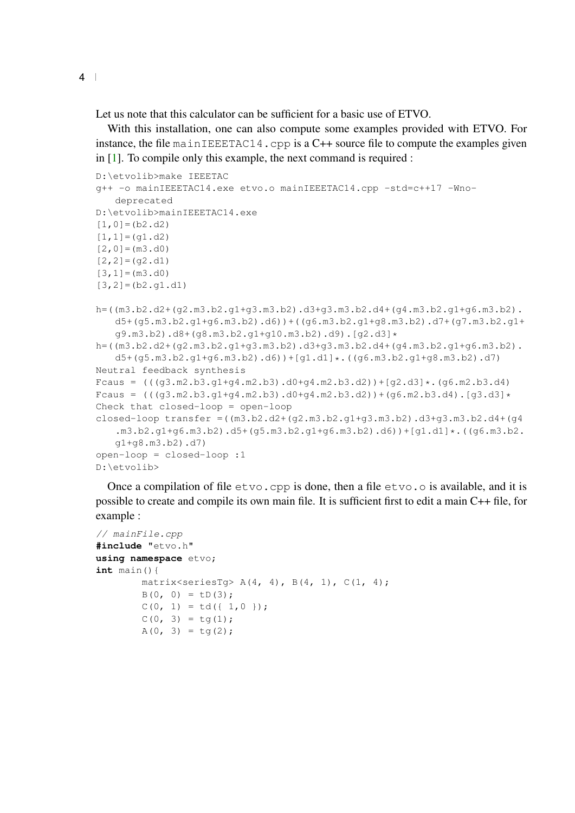Let us note that this calculator can be sufficient for a basic use of ETVO.

With this installation, one can also compute some examples provided with ETVO. For instance, the file mainIEEETAC14.cpp is a  $C++$  source file to compute the examples given in [\[1\]](#page-6-0). To compile only this example, the next command is required :

```
D:\etvolib>make IEEETAC
g++ -o mainIEEETAC14.exe etvo.o mainIEEETAC14.cpp -std=c++17 -Wno-
   deprecated
D:\etvolib>mainIEEETAC14.exe
[1,0] = (b2.d2)[1,1] = (g1.d2)[2, 0] = (m3. d0)[2,2]= (q2.d1)[3, 1] = (m3. d0)[3,2]=[b2.q1.d1]h=((m3.b2.d2+(g2.m3.b2.g1+g3.m3.b2).d3+g3.m3.b2.d4+(g4.m3.b2.g1+g6.m3.b2).
   d5+(g5.m3.b2.g1+g6.m3.b2).d6))+((g6.m3.b2.g1+g8.m3.b2).d7+(g7.m3.b2.g1+
   g9.m3.b2).d8+(g8.m3.b2.g1+g10.m3.b2).d9).[g2.d3]*
h=((m3.b2.d2+(g2.m3.b2.g1+g3.m3.b2).d3+g3.m3.b2.d4+(g4.m3.b2.g1+g6.m3.b2).
   d5+(g5.m3.b2.g1+g6.m3.b2).d6))+[g1.d1]*.((g6.m3.b2.g1+g8.m3.b2).d7)
Neutral feedback synthesis
Fcaus = ((q3.m2.b3.q1+q4.m2.b3).d0+q4.m2.b3.d2)+(q2.d3]*(q6.m2.b3.d4)Fcaus = ((g3.m2.b3.g1+g4.m2.b3).d0+g4.m2.b3.d2))+(g6.m2.b3.d4).[g3.d3]*Check that closed-loop = open-loop
closed-loop transfer = ((m3.b2.d2+(q2.m3.b2.q1+q3.m3.b2).d3+q3.m3.b2.d4+(q4.m3.b2.g1+g6.m3.b2).d5+(g5.m3.b2.g1+g6.m3.b2).d6))+[g1.d1]*.((g6.m3.b2.
   g1+g8.m3.b2).d7)
open-loop = closed-loop :1
D:\etvolib>
```
Once a compilation of file  $\epsilon$ tvo.cpp is done, then a file  $\epsilon$ tvo.o is available, and it is possible to create and compile its own main file. It is sufficient first to edit a main C++ file, for example :

```
// mainFile.cpp
#include "etvo.h"
using namespace etvo;
int main(){
       matrix<seriesTg> A(4, 4), B(4, 1), C(1, 4);
       B(0, 0) = LD(3);C(0, 1) = td({1, 0});C(0, 3) = tg(1);A(0, 3) = tq(2);
```
4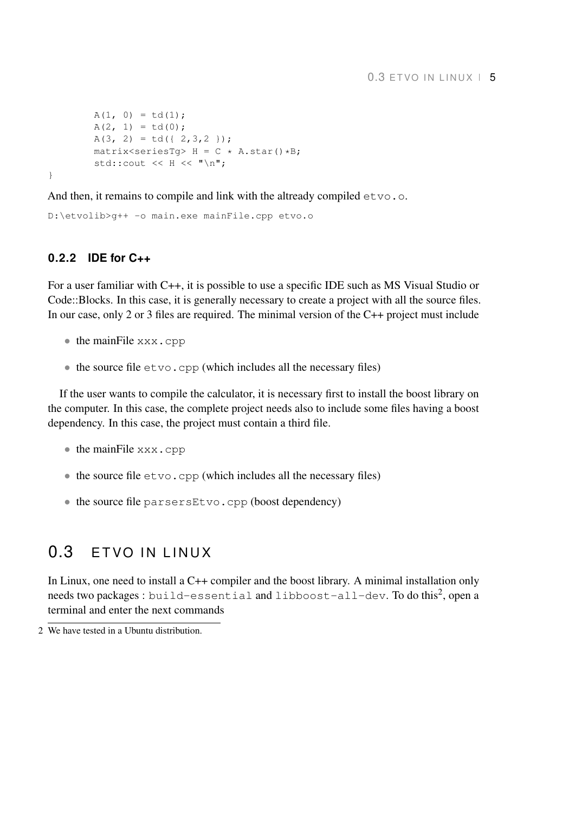```
A(1, 0) = td(1);A(2, 1) = td(0);A(3, 2) = td({2, 3, 2});
         matrix<seriesTq> H = C \times A \cdot \text{star}(x) * B;std::cout << H << "\n";
}
```
And then, it remains to compile and link with the altready compiled  $e$ tvo.o.

```
D:\etvolib>g++ -o main.exe mainFile.cpp etvo.o
```
#### **0.2.2 IDE for C++**

For a user familiar with C++, it is possible to use a specific IDE such as MS Visual Studio or Code::Blocks. In this case, it is generally necessary to create a project with all the source files. In our case, only 2 or 3 files are required. The minimal version of the C++ project must include

- the mainFile xxx.cpp
- $\bullet$  the source file  $\epsilon$  tvo.cpp (which includes all the necessary files)

If the user wants to compile the calculator, it is necessary first to install the boost library on the computer. In this case, the complete project needs also to include some files having a boost dependency. In this case, the project must contain a third file.

- the mainFile xxx.cpp
- $\bullet$  the source file  $\epsilon$  tvo.cpp (which includes all the necessary files)
- the source file parsersEtvo.cpp (boost dependency)

## $0.3$  FTVO IN LINUX

In Linux, one need to install a C++ compiler and the boost library. A minimal installation only <code>needs</code> two packages : <code>build-essential</code> and <code>libboost-all-dev. To do this $^2$ , open a</code> terminal and enter the next commands

<sup>2</sup> We have tested in a Ubuntu distribution.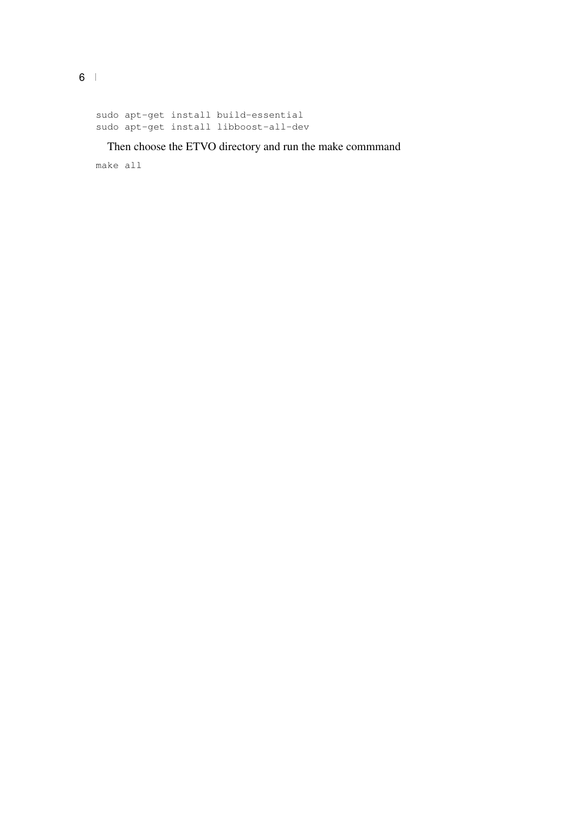```
sudo apt-get install build-essential
sudo apt-get install libboost-all-dev
```
#### Then choose the ETVO directory and run the make commmand

make all